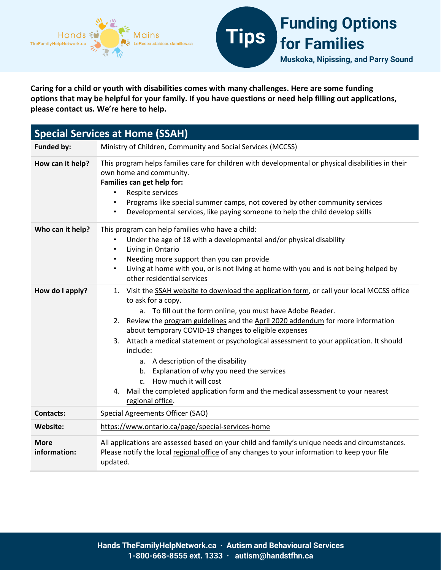

**Caring for a child or youth with disabilities comes with many challenges. Here are some funding options that may be helpful for your family. If you have questions or need help filling out applications, please contact us. We're here to help.** 

| <b>Special Services at Home (SSAH)</b> |                                                                                                                                                                                                                                                                                                                                                                                                                                                                                                                                                                                                                                                                                    |  |
|----------------------------------------|------------------------------------------------------------------------------------------------------------------------------------------------------------------------------------------------------------------------------------------------------------------------------------------------------------------------------------------------------------------------------------------------------------------------------------------------------------------------------------------------------------------------------------------------------------------------------------------------------------------------------------------------------------------------------------|--|
| <b>Funded by:</b>                      | Ministry of Children, Community and Social Services (MCCSS)                                                                                                                                                                                                                                                                                                                                                                                                                                                                                                                                                                                                                        |  |
| How can it help?                       | This program helps families care for children with developmental or physical disabilities in their<br>own home and community.<br>Families can get help for:<br>Respite services<br>$\bullet$<br>Programs like special summer camps, not covered by other community services<br>$\bullet$<br>Developmental services, like paying someone to help the child develop skills<br>$\bullet$                                                                                                                                                                                                                                                                                              |  |
| Who can it help?                       | This program can help families who have a child:<br>Under the age of 18 with a developmental and/or physical disability<br>Living in Ontario<br>$\bullet$<br>Needing more support than you can provide<br>$\bullet$<br>Living at home with you, or is not living at home with you and is not being helped by<br>$\bullet$<br>other residential services                                                                                                                                                                                                                                                                                                                            |  |
| How do I apply?                        | 1. Visit the SSAH website to download the application form, or call your local MCCSS office<br>to ask for a copy.<br>a. To fill out the form online, you must have Adobe Reader.<br>Review the program guidelines and the April 2020 addendum for more information<br>2.<br>about temporary COVID-19 changes to eligible expenses<br>3. Attach a medical statement or psychological assessment to your application. It should<br>include:<br>a. A description of the disability<br>b. Explanation of why you need the services<br>How much it will cost<br>$\mathsf{C}$ .<br>4. Mail the completed application form and the medical assessment to your nearest<br>regional office. |  |
| <b>Contacts:</b>                       | Special Agreements Officer (SAO)                                                                                                                                                                                                                                                                                                                                                                                                                                                                                                                                                                                                                                                   |  |
| Website:                               | https://www.ontario.ca/page/special-services-home                                                                                                                                                                                                                                                                                                                                                                                                                                                                                                                                                                                                                                  |  |
| <b>More</b><br>information:            | All applications are assessed based on your child and family's unique needs and circumstances.<br>Please notify the local regional office of any changes to your information to keep your file<br>updated.                                                                                                                                                                                                                                                                                                                                                                                                                                                                         |  |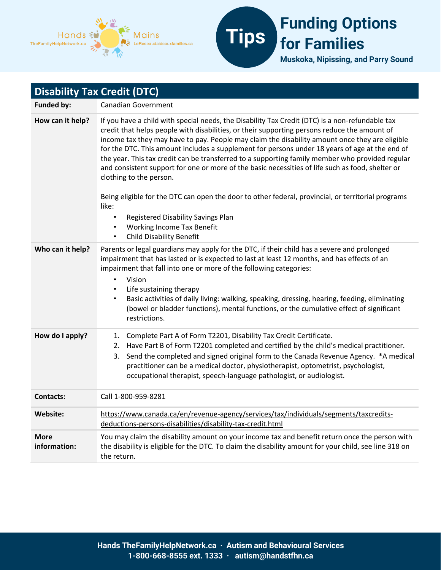



| <b>Disability Tax Credit (DTC)</b> |                                                                                                                                                                                                                                                                                                                                                                                                                                                                                                                                                                                                                                                                                                                                             |  |
|------------------------------------|---------------------------------------------------------------------------------------------------------------------------------------------------------------------------------------------------------------------------------------------------------------------------------------------------------------------------------------------------------------------------------------------------------------------------------------------------------------------------------------------------------------------------------------------------------------------------------------------------------------------------------------------------------------------------------------------------------------------------------------------|--|
| <b>Funded by:</b>                  | <b>Canadian Government</b>                                                                                                                                                                                                                                                                                                                                                                                                                                                                                                                                                                                                                                                                                                                  |  |
| How can it help?                   | If you have a child with special needs, the Disability Tax Credit (DTC) is a non-refundable tax<br>credit that helps people with disabilities, or their supporting persons reduce the amount of<br>income tax they may have to pay. People may claim the disability amount once they are eligible<br>for the DTC. This amount includes a supplement for persons under 18 years of age at the end of<br>the year. This tax credit can be transferred to a supporting family member who provided regular<br>and consistent support for one or more of the basic necessities of life such as food, shelter or<br>clothing to the person.<br>Being eligible for the DTC can open the door to other federal, provincial, or territorial programs |  |
|                                    | like:<br>Registered Disability Savings Plan<br><b>Working Income Tax Benefit</b><br>$\bullet$<br><b>Child Disability Benefit</b><br>$\bullet$                                                                                                                                                                                                                                                                                                                                                                                                                                                                                                                                                                                               |  |
| Who can it help?                   | Parents or legal guardians may apply for the DTC, if their child has a severe and prolonged<br>impairment that has lasted or is expected to last at least 12 months, and has effects of an<br>impairment that fall into one or more of the following categories:<br>Vision<br>$\bullet$<br>Life sustaining therapy<br>$\bullet$<br>Basic activities of daily living: walking, speaking, dressing, hearing, feeding, eliminating<br>$\bullet$<br>(bowel or bladder functions), mental functions, or the cumulative effect of significant<br>restrictions.                                                                                                                                                                                    |  |
| How do I apply?                    | Complete Part A of Form T2201, Disability Tax Credit Certificate.<br>1.<br>Have Part B of Form T2201 completed and certified by the child's medical practitioner.<br>2.<br>Send the completed and signed original form to the Canada Revenue Agency. *A medical<br>3.<br>practitioner can be a medical doctor, physiotherapist, optometrist, psychologist,<br>occupational therapist, speech-language pathologist, or audiologist.                                                                                                                                                                                                                                                                                                          |  |
| <b>Contacts:</b>                   | Call 1-800-959-8281                                                                                                                                                                                                                                                                                                                                                                                                                                                                                                                                                                                                                                                                                                                         |  |
| Website:                           | https://www.canada.ca/en/revenue-agency/services/tax/individuals/segments/taxcredits-<br>deductions-persons-disabilities/disability-tax-credit.html                                                                                                                                                                                                                                                                                                                                                                                                                                                                                                                                                                                         |  |
| <b>More</b><br>information:        | You may claim the disability amount on your income tax and benefit return once the person with<br>the disability is eligible for the DTC. To claim the disability amount for your child, see line 318 on<br>the return.                                                                                                                                                                                                                                                                                                                                                                                                                                                                                                                     |  |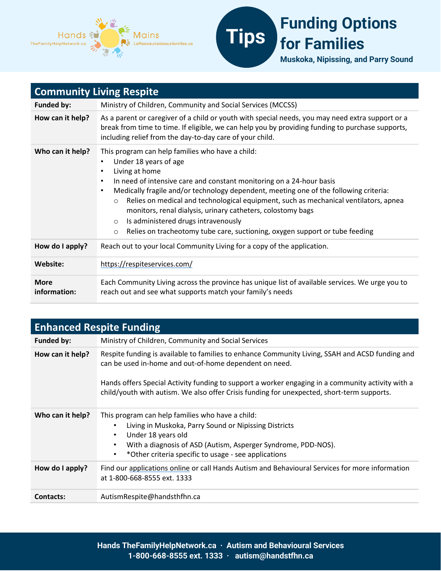



| <b>Community Living Respite</b> |                                                                                                                                                                                                                                                                                                                                                                                                                                                                                                                                                                                                      |  |
|---------------------------------|------------------------------------------------------------------------------------------------------------------------------------------------------------------------------------------------------------------------------------------------------------------------------------------------------------------------------------------------------------------------------------------------------------------------------------------------------------------------------------------------------------------------------------------------------------------------------------------------------|--|
| <b>Funded by:</b>               | Ministry of Children, Community and Social Services (MCCSS)                                                                                                                                                                                                                                                                                                                                                                                                                                                                                                                                          |  |
| How can it help?                | As a parent or caregiver of a child or youth with special needs, you may need extra support or a<br>break from time to time. If eligible, we can help you by providing funding to purchase supports,<br>including relief from the day-to-day care of your child.                                                                                                                                                                                                                                                                                                                                     |  |
| Who can it help?                | This program can help families who have a child:<br>Under 18 years of age<br>Living at home<br>$\bullet$<br>In need of intensive care and constant monitoring on a 24-hour basis<br>Medically fragile and/or technology dependent, meeting one of the following criteria:<br>$\bullet$<br>Relies on medical and technological equipment, such as mechanical ventilators, apnea<br>$\circ$<br>monitors, renal dialysis, urinary catheters, colostomy bags<br>Is administered drugs intravenously<br>$\circ$<br>Relies on tracheotomy tube care, suctioning, oxygen support or tube feeding<br>$\circ$ |  |
| How do I apply?                 | Reach out to your local Community Living for a copy of the application.                                                                                                                                                                                                                                                                                                                                                                                                                                                                                                                              |  |
| Website:                        | https://respiteservices.com/                                                                                                                                                                                                                                                                                                                                                                                                                                                                                                                                                                         |  |
| <b>More</b><br>information:     | Each Community Living across the province has unique list of available services. We urge you to<br>reach out and see what supports match your family's needs                                                                                                                                                                                                                                                                                                                                                                                                                                         |  |

| <b>Enhanced Respite Funding</b> |                                                                                                                                                                                                                                                                                                                                                              |  |
|---------------------------------|--------------------------------------------------------------------------------------------------------------------------------------------------------------------------------------------------------------------------------------------------------------------------------------------------------------------------------------------------------------|--|
| <b>Funded by:</b>               | Ministry of Children, Community and Social Services                                                                                                                                                                                                                                                                                                          |  |
| How can it help?                | Respite funding is available to families to enhance Community Living, SSAH and ACSD funding and<br>can be used in-home and out-of-home dependent on need.<br>Hands offers Special Activity funding to support a worker engaging in a community activity with a<br>child/youth with autism. We also offer Crisis funding for unexpected, short-term supports. |  |
| Who can it help?                | This program can help families who have a child:<br>Living in Muskoka, Parry Sound or Nipissing Districts<br>Under 18 years old<br>٠<br>With a diagnosis of ASD (Autism, Asperger Syndrome, PDD-NOS).<br>٠<br>*Other criteria specific to usage - see applications<br>٠                                                                                      |  |
| How do I apply?                 | Find our applications online or call Hands Autism and Behavioural Services for more information<br>at 1-800-668-8555 ext. 1333                                                                                                                                                                                                                               |  |
| <b>Contacts:</b>                | AutismRespite@handsthfhn.ca                                                                                                                                                                                                                                                                                                                                  |  |